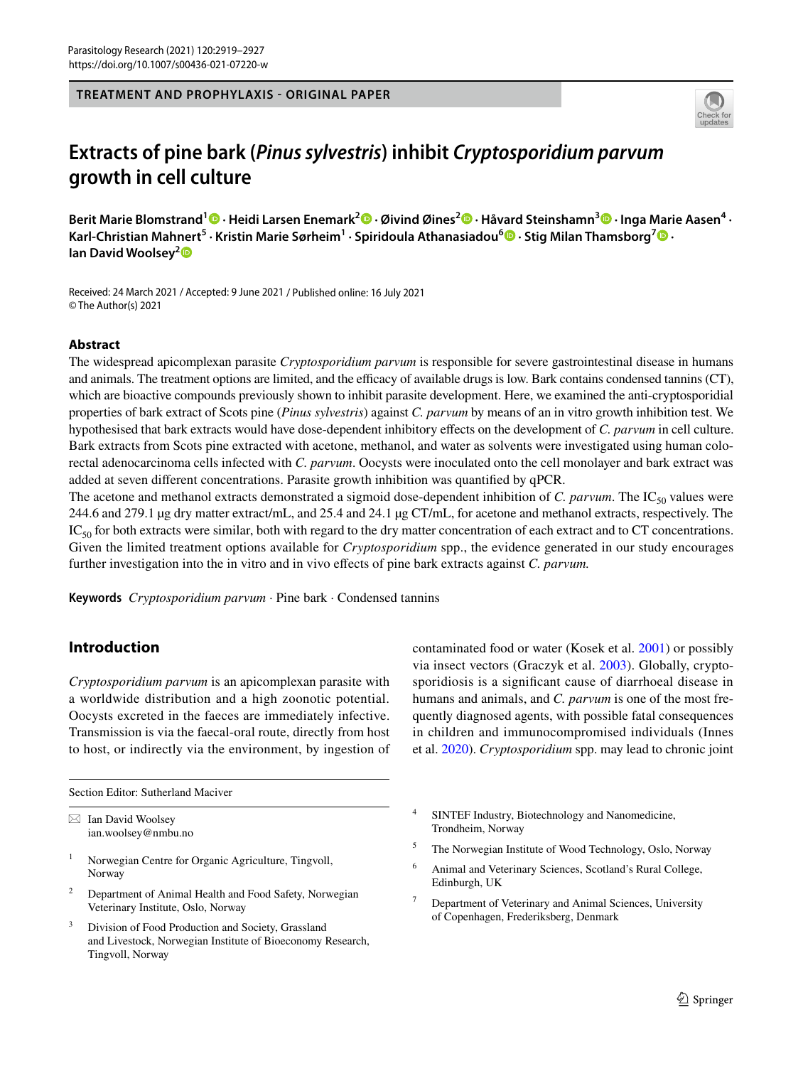**TREATMENT AND PROPHYLAXIS - ORIGINAL PAPER**



# **Extracts of pine bark (***Pinus sylvestris***) inhibit** *Cryptosporidium parvum* **growth in cell culture**

**Berit Marie Blomstrand<sup>1</sup> · Heidi Larsen Enemark2 · Øivind Øines2  [·](http://orcid.org/0000-0002-8661-9765) Håvard Steinshamn3  [·](http://orcid.org/0000-0003-0052-7294) Inga Marie Aasen4 · Karl‑Christian Mahnert<sup>5</sup> · Kristin Marie Sørheim1 · Spiridoula Athanasiadou[6](http://orcid.org/0000-0002-9188-837X) · Stig Milan Thamsborg[7](http://orcid.org/0000-0003-3304-7422) · Ian David Woolsey[2](http://orcid.org/0000-0002-6329-1859)**

Received: 24 March 2021 / Accepted: 9 June 2021 / Published online: 16 July 2021 © The Author(s) 2021

## **Abstract**

The widespread apicomplexan parasite *Cryptosporidium parvum* is responsible for severe gastrointestinal disease in humans and animals. The treatment options are limited, and the efficacy of available drugs is low. Bark contains condensed tannins (CT), which are bioactive compounds previously shown to inhibit parasite development. Here, we examined the anti-cryptosporidial properties of bark extract of Scots pine (*Pinus sylvestris*) against *C. parvum* by means of an in vitro growth inhibition test. We hypothesised that bark extracts would have dose-dependent inhibitory efects on the development of *C. parvum* in cell culture. Bark extracts from Scots pine extracted with acetone, methanol, and water as solvents were investigated using human colorectal adenocarcinoma cells infected with *C. parvum*. Oocysts were inoculated onto the cell monolayer and bark extract was added at seven diferent concentrations. Parasite growth inhibition was quantifed by qPCR.

The acetone and methanol extracts demonstrated a sigmoid dose-dependent inhibition of *C. parvum*. The IC<sub>50</sub> values were 244.6 and 279.1 µg dry matter extract/mL, and 25.4 and 24.1 µg CT/mL, for acetone and methanol extracts, respectively. The  $IC_{50}$  for both extracts were similar, both with regard to the dry matter concentration of each extract and to CT concentrations. Given the limited treatment options available for *Cryptosporidium* spp., the evidence generated in our study encourages further investigation into the in vitro and in vivo efects of pine bark extracts against *C. parvum.*

**Keywords** *Cryptosporidium parvum* · Pine bark · Condensed tannins

# **Introduction**

*Cryptosporidium parvum* is an apicomplexan parasite with a worldwide distribution and a high zoonotic potential. Oocysts excreted in the faeces are immediately infective. Transmission is via the faecal-oral route, directly from host to host, or indirectly via the environment, by ingestion of

Section Editor: Sutherland Maciver

 $\boxtimes$  Ian David Woolsey ian.woolsey@nmbu.no

- <sup>1</sup> Norwegian Centre for Organic Agriculture, Tingvoll, Norway
- <sup>2</sup> Department of Animal Health and Food Safety, Norwegian Veterinary Institute, Oslo, Norway
- <sup>3</sup> Division of Food Production and Society, Grassland and Livestock, Norwegian Institute of Bioeconomy Research, Tingvoll, Norway

contaminated food or water (Kosek et al. [2001\)](#page-8-0) or possibly via insect vectors (Graczyk et al. [2003](#page-7-0)). Globally, cryptosporidiosis is a signifcant cause of diarrhoeal disease in humans and animals, and *C. parvum* is one of the most frequently diagnosed agents, with possible fatal consequences in children and immunocompromised individuals (Innes et al. [2020\)](#page-7-1). *Cryptosporidium* spp. may lead to chronic joint

- <sup>4</sup> SINTEF Industry, Biotechnology and Nanomedicine, Trondheim, Norway
- <sup>5</sup> The Norwegian Institute of Wood Technology, Oslo, Norway
- Animal and Veterinary Sciences, Scotland's Rural College, Edinburgh, UK
- Department of Veterinary and Animal Sciences, University of Copenhagen, Frederiksberg, Denmark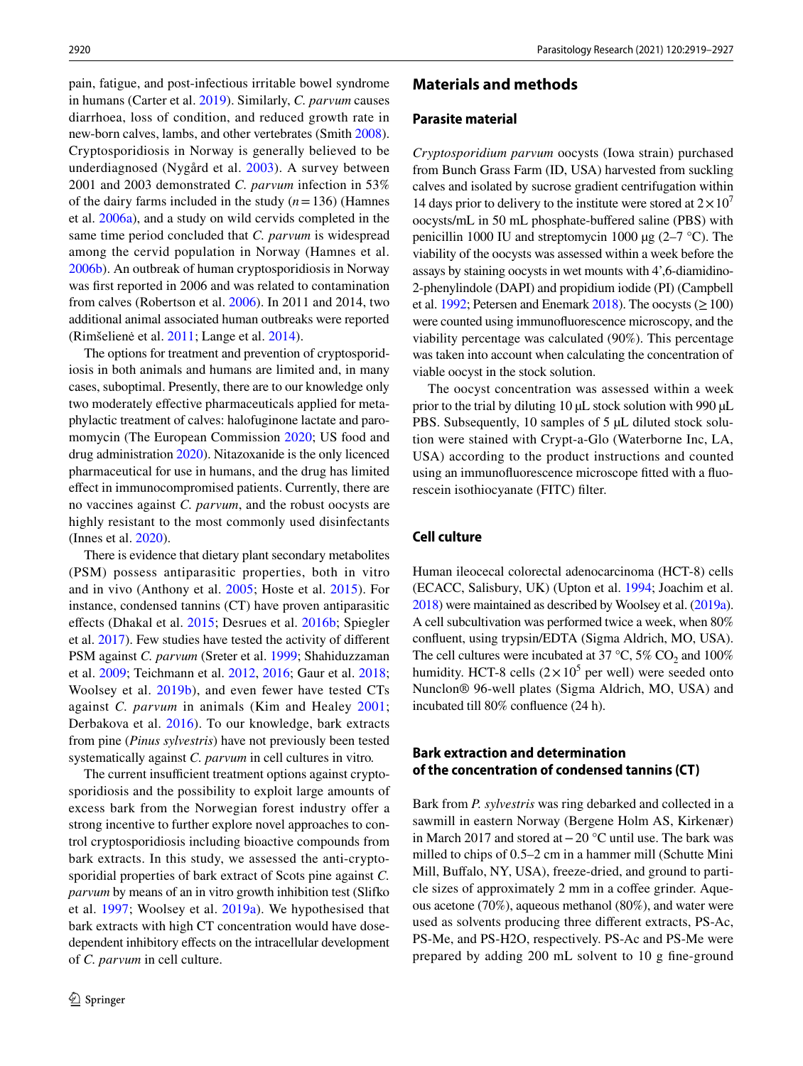pain, fatigue, and post-infectious irritable bowel syndrome in humans (Carter et al. [2019\)](#page-7-2). Similarly, *C. parvum* causes diarrhoea, loss of condition, and reduced growth rate in new-born calves, lambs, and other vertebrates (Smith [2008](#page-8-1)). Cryptosporidiosis in Norway is generally believed to be underdiagnosed (Nygård et al. [2003\)](#page-8-2). A survey between 2001 and 2003 demonstrated *C. parvum* infection in 53% of the dairy farms included in the study  $(n=136)$  (Hamnes et al. [2006a](#page-7-3)), and a study on wild cervids completed in the same time period concluded that *C. parvum* is widespread among the cervid population in Norway (Hamnes et al. [2006b](#page-7-4)). An outbreak of human cryptosporidiosis in Norway was frst reported in 2006 and was related to contamination from calves (Robertson et al. [2006](#page-8-3)). In 2011 and 2014, two additional animal associated human outbreaks were reported (Rimšelienė et al. [2011](#page-8-4); Lange et al. [2014](#page-8-5)).

The options for treatment and prevention of cryptosporidiosis in both animals and humans are limited and, in many cases, suboptimal. Presently, there are to our knowledge only two moderately efective pharmaceuticals applied for metaphylactic treatment of calves: halofuginone lactate and paromomycin (The European Commission [2020](#page-8-6); US food and drug administration [2020\)](#page-8-7). Nitazoxanide is the only licenced pharmaceutical for use in humans, and the drug has limited efect in immunocompromised patients. Currently, there are no vaccines against *C. parvum*, and the robust oocysts are highly resistant to the most commonly used disinfectants (Innes et al. [2020\)](#page-7-1).

There is evidence that dietary plant secondary metabolites (PSM) possess antiparasitic properties, both in vitro and in vivo (Anthony et al. [2005](#page-7-5); Hoste et al. [2015\)](#page-7-6). For instance, condensed tannins (CT) have proven antiparasitic efects (Dhakal et al. [2015](#page-7-7); Desrues et al. [2016b;](#page-7-8) Spiegler et al. [2017\)](#page-8-8). Few studies have tested the activity of diferent PSM against *C. parvum* (Sreter et al. [1999;](#page-8-9) Shahiduzzaman et al. [2009;](#page-8-10) Teichmann et al. [2012,](#page-8-11) [2016](#page-8-12); Gaur et al. [2018](#page-7-9); Woolsey et al. [2019b](#page-8-13)), and even fewer have tested CTs against *C. parvum* in animals (Kim and Healey [2001](#page-8-14); Derbakova et al. [2016\)](#page-7-10). To our knowledge, bark extracts from pine (*Pinus sylvestris*) have not previously been tested systematically against *C. parvum* in cell cultures in vitro*.*

The current insufficient treatment options against cryptosporidiosis and the possibility to exploit large amounts of excess bark from the Norwegian forest industry offer a strong incentive to further explore novel approaches to control cryptosporidiosis including bioactive compounds from bark extracts. In this study, we assessed the anti-cryptosporidial properties of bark extract of Scots pine against *C. parvum* by means of an in vitro growth inhibition test (Slifko et al. [1997;](#page-8-15) Woolsey et al. [2019a](#page-8-16)). We hypothesised that bark extracts with high CT concentration would have dosedependent inhibitory effects on the intracellular development of *C. parvum* in cell culture.

## **Materials and methods**

## **Parasite material**

*Cryptosporidium parvum* oocysts (Iowa strain) purchased from Bunch Grass Farm (ID, USA) harvested from suckling calves and isolated by sucrose gradient centrifugation within 14 days prior to delivery to the institute were stored at  $2 \times 10^7$ oocysts/mL in 50 mL phosphate-bufered saline (PBS) with penicillin 1000 IU and streptomycin 1000  $\mu$ g (2–7 °C). The viability of the oocysts was assessed within a week before the assays by staining oocysts in wet mounts with 4',6-diamidino-2-phenylindole (DAPI) and propidium iodide (PI) (Campbell et al. [1992](#page-7-11); Petersen and Enemark [2018\)](#page-8-17). The oocysts ( $\geq 100$ ) were counted using immunofuorescence microscopy, and the viability percentage was calculated (90%). This percentage was taken into account when calculating the concentration of viable oocyst in the stock solution.

The oocyst concentration was assessed within a week prior to the trial by diluting 10 µL stock solution with 990 µL PBS. Subsequently, 10 samples of 5  $\mu$ L diluted stock solution were stained with Crypt-a-Glo (Waterborne Inc, LA, USA) according to the product instructions and counted using an immunofuorescence microscope ftted with a fuorescein isothiocyanate (FITC) flter.

## **Cell culture**

Human ileocecal colorectal adenocarcinoma (HCT-8) cells (ECACC, Salisbury, UK) (Upton et al. [1994;](#page-8-18) Joachim et al. [2018](#page-7-12)) were maintained as described by Woolsey et al. [\(2019a\)](#page-8-16). A cell subcultivation was performed twice a week, when 80% confuent, using trypsin/EDTA (Sigma Aldrich, MO, USA). The cell cultures were incubated at 37  $\degree$ C, 5% CO<sub>2</sub> and 100% humidity. HCT-8 cells  $(2 \times 10^5$  per well) were seeded onto Nunclon® 96-well plates (Sigma Aldrich, MO, USA) and incubated till 80% confuence (24 h).

## **Bark extraction and determination of the concentration of condensed tannins (CT)**

Bark from *P. sylvestris* was ring debarked and collected in a sawmill in eastern Norway (Bergene Holm AS, Kirkenær) in March 2017 and stored at−20 °C until use. The bark was milled to chips of 0.5–2 cm in a hammer mill (Schutte Mini Mill, Bufalo, NY, USA), freeze-dried, and ground to particle sizes of approximately 2 mm in a coffee grinder. Aqueous acetone (70%), aqueous methanol (80%), and water were used as solvents producing three diferent extracts, PS-Ac, PS-Me, and PS-H2O, respectively. PS-Ac and PS-Me were prepared by adding 200 mL solvent to 10 g fne-ground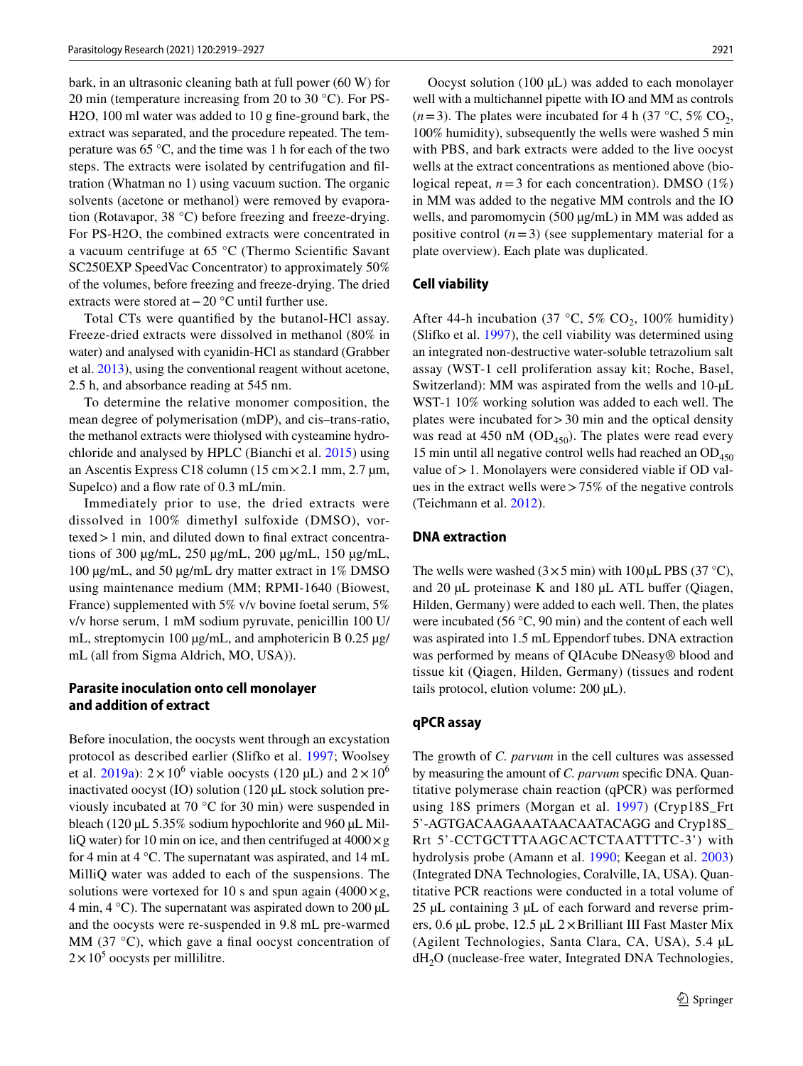bark, in an ultrasonic cleaning bath at full power (60 W) for 20 min (temperature increasing from 20 to 30 °C). For PS-H2O, 100 ml water was added to 10 g fne-ground bark, the extract was separated, and the procedure repeated. The temperature was 65 °C, and the time was 1 h for each of the two steps. The extracts were isolated by centrifugation and fltration (Whatman no 1) using vacuum suction. The organic solvents (acetone or methanol) were removed by evaporation (Rotavapor, 38 °C) before freezing and freeze-drying. For PS-H2O, the combined extracts were concentrated in a vacuum centrifuge at 65 °C (Thermo Scientifc Savant SC250EXP SpeedVac Concentrator) to approximately 50% of the volumes, before freezing and freeze-drying. The dried extracts were stored at−20 °C until further use.

Total CTs were quantifed by the butanol-HCl assay. Freeze-dried extracts were dissolved in methanol (80% in water) and analysed with cyanidin-HCl as standard (Grabber et al. [2013](#page-7-13)), using the conventional reagent without acetone, 2.5 h, and absorbance reading at 545 nm.

To determine the relative monomer composition, the mean degree of polymerisation (mDP), and cis–trans-ratio, the methanol extracts were thiolysed with cysteamine hydrochloride and analysed by HPLC (Bianchi et al. [2015](#page-7-14)) using an Ascentis Express C18 column (15 cm×2.1 mm, 2.7 µm, Supelco) and a flow rate of 0.3 mL/min.

Immediately prior to use, the dried extracts were dissolved in 100% dimethyl sulfoxide (DMSO), vortexed>1 min, and diluted down to fnal extract concentrations of 300 µg/mL, 250 µg/mL, 200 µg/mL, 150 µg/mL, 100 µg/mL, and 50 µg/mL dry matter extract in 1% DMSO using maintenance medium (MM; RPMI-1640 (Biowest, France) supplemented with 5% v/v bovine foetal serum, 5% v/v horse serum, 1 mM sodium pyruvate, penicillin 100 U/ mL, streptomycin 100 μg/mL, and amphotericin B 0.25 μg/ mL (all from Sigma Aldrich, MO, USA)).

## **Parasite inoculation onto cell monolayer and addition of extract**

Before inoculation, the oocysts went through an excystation protocol as described earlier (Slifko et al. [1997;](#page-8-15) Woolsey et al. [2019a\)](#page-8-16):  $2 \times 10^6$  viable oocysts (120 µL) and  $2 \times 10^6$ inactivated oocyst (IO) solution (120 µL stock solution previously incubated at 70 °C for 30 min) were suspended in bleach (120 µL 5.35% sodium hypochlorite and 960 µL MilliQ water) for 10 min on ice, and then centrifuged at  $4000 \times g$ for 4 min at 4 °C. The supernatant was aspirated, and 14 mL MilliQ water was added to each of the suspensions. The solutions were vortexed for 10 s and spun again  $(4000 \times g,$ 4 min, 4  $^{\circ}$ C). The supernatant was aspirated down to 200 µL and the oocysts were re-suspended in 9.8 mL pre-warmed MM (37 $\degree$ C), which gave a final oocyst concentration of  $2 \times 10^5$  oocysts per millilitre.

Oocyst solution  $(100 \mu L)$  was added to each monolayer well with a multichannel pipette with IO and MM as controls  $(n=3)$ . The plates were incubated for 4 h (37 °C, 5% CO<sub>2</sub>, 100% humidity), subsequently the wells were washed 5 min with PBS, and bark extracts were added to the live oocyst wells at the extract concentrations as mentioned above (biological repeat,  $n=3$  for each concentration). DMSO (1%) in MM was added to the negative MM controls and the IO wells, and paromomycin (500 µg/mL) in MM was added as positive control  $(n=3)$  (see supplementary material for a plate overview). Each plate was duplicated.

#### **Cell viability**

After 44-h incubation (37 °C, 5% CO<sub>2</sub>, 100% humidity) (Slifko et al. [1997](#page-8-15)), the cell viability was determined using an integrated non-destructive water-soluble tetrazolium salt assay (WST-1 cell proliferation assay kit; Roche, Basel, Switzerland): MM was aspirated from the wells and 10- $\mu$ L WST-1 10% working solution was added to each well. The plates were incubated for  $>30$  min and the optical density was read at 450 nM  $(OD_{450})$ . The plates were read every 15 min until all negative control wells had reached an  $OD<sub>450</sub>$ value of > 1. Monolayers were considered viable if OD values in the extract wells were>75% of the negative controls (Teichmann et al. [2012\)](#page-8-11).

#### **DNA extraction**

The wells were washed  $(3 \times 5 \text{ min})$  with 100 µL PBS (37 °C), and 20 µL proteinase K and 180 µL ATL buffer (Qiagen, Hilden, Germany) were added to each well. Then, the plates were incubated (56 °C, 90 min) and the content of each well was aspirated into 1.5 mL Eppendorf tubes. DNA extraction was performed by means of QIAcube DNeasy® blood and tissue kit (Qiagen, Hilden, Germany) (tissues and rodent tails protocol, elution volume: 200 µL).

#### **qPCR assay**

The growth of *C. parvum* in the cell cultures was assessed by measuring the amount of *C. parvum* specifc DNA. Quantitative polymerase chain reaction (qPCR) was performed using 18S primers (Morgan et al. [1997\)](#page-8-19) (Cryp18S\_Frt 5'-AGTGACAAGAAATAACAATACAGG and Cryp18S\_ Rrt 5'-CCTGCTTTAAGCACTCTAATTTTC-3') with hydrolysis probe (Amann et al. [1990;](#page-7-15) Keegan et al. [2003\)](#page-7-16) (Integrated DNA Technologies, Coralville, IA, USA). Quantitative PCR reactions were conducted in a total volume of 25 µL containing 3 µL of each forward and reverse primers, 0.6 µL probe, 12.5 µL 2×Brilliant III Fast Master Mix (Agilent Technologies, Santa Clara, CA, USA), 5.4 µL dH<sub>2</sub>O (nuclease-free water, Integrated DNA Technologies,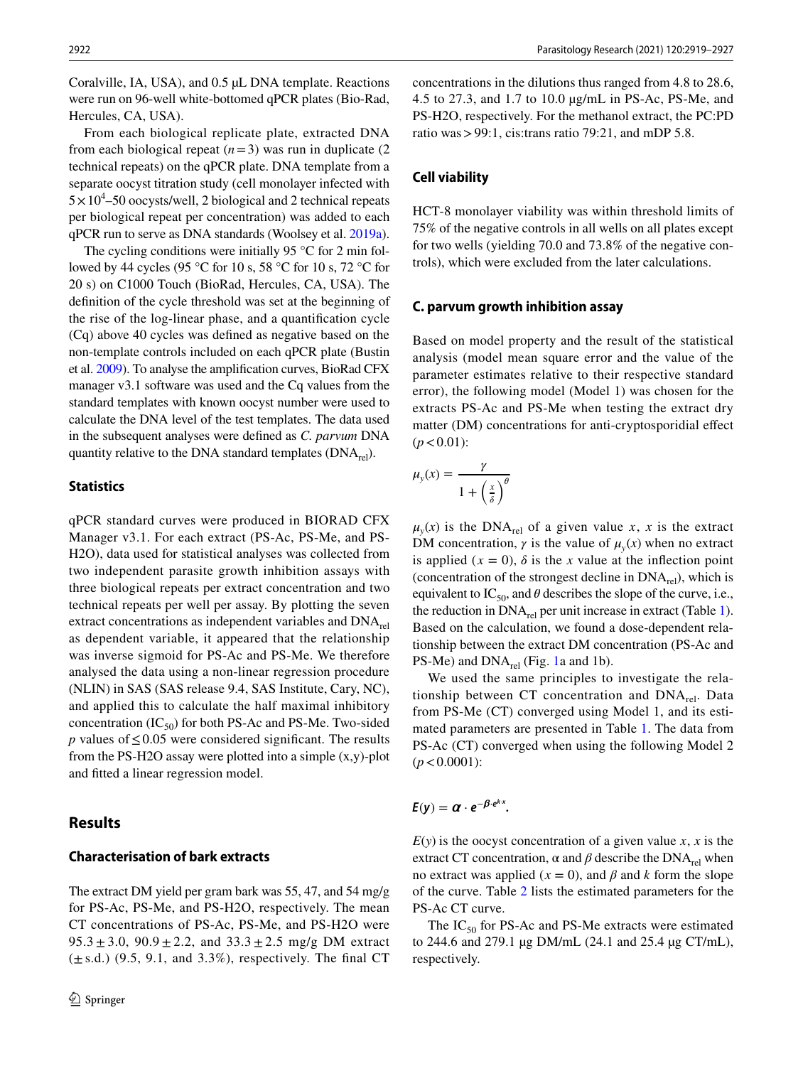Coralville, IA, USA), and 0.5 µL DNA template. Reactions were run on 96-well white-bottomed qPCR plates (Bio-Rad, Hercules, CA, USA).

From each biological replicate plate, extracted DNA from each biological repeat  $(n=3)$  was run in duplicate  $(2)$ technical repeats) on the qPCR plate. DNA template from a separate oocyst titration study (cell monolayer infected with  $5 \times 10^4$ –50 oocysts/well, 2 biological and 2 technical repeats per biological repeat per concentration) was added to each qPCR run to serve as DNA standards (Woolsey et al. [2019a](#page-8-16)).

The cycling conditions were initially 95 °C for 2 min followed by 44 cycles (95 °C for 10 s, 58 °C for 10 s, 72 °C for 20 s) on C1000 Touch (BioRad, Hercules, CA, USA). The defnition of the cycle threshold was set at the beginning of the rise of the log-linear phase, and a quantifcation cycle (Cq) above 40 cycles was defned as negative based on the non-template controls included on each qPCR plate (Bustin et al. [2009\)](#page-7-17). To analyse the amplifcation curves, BioRad CFX manager v3.1 software was used and the Cq values from the standard templates with known oocyst number were used to calculate the DNA level of the test templates. The data used in the subsequent analyses were defned as *C. parvum* DNA quantity relative to the DNA standard templates  $(DNA<sub>rel</sub>)$ .

#### **Statistics**

qPCR standard curves were produced in BIORAD CFX Manager v3.1. For each extract (PS-Ac, PS-Me, and PS-H2O), data used for statistical analyses was collected from two independent parasite growth inhibition assays with three biological repeats per extract concentration and two technical repeats per well per assay. By plotting the seven extract concentrations as independent variables and  $DNA_{rel}$ as dependent variable, it appeared that the relationship was inverse sigmoid for PS-Ac and PS-Me. We therefore analysed the data using a non-linear regression procedure (NLIN) in SAS (SAS release 9.4, SAS Institute, Cary, NC), and applied this to calculate the half maximal inhibitory concentration  $(IC_{50})$  for both PS-Ac and PS-Me. Two-sided *p* values of ≤0.05 were considered significant. The results from the PS-H2O assay were plotted into a simple  $(x,y)$ -plot and ftted a linear regression model.

## **Results**

## **Characterisation of bark extracts**

The extract DM yield per gram bark was 55, 47, and 54 mg/g for PS-Ac, PS-Me, and PS-H2O, respectively. The mean CT concentrations of PS-Ac, PS-Me, and PS-H2O were  $95.3 \pm 3.0$ ,  $90.9 \pm 2.2$ , and  $33.3 \pm 2.5$  mg/g DM extract  $(\pm s.d.)$  (9.5, 9.1, and 3.3%), respectively. The final CT concentrations in the dilutions thus ranged from 4.8 to 28.6, 4.5 to 27.3, and 1.7 to 10.0 µg/mL in PS-Ac, PS-Me, and PS-H2O, respectively. For the methanol extract, the PC:PD ratio was > 99:1, cis:trans ratio 79:21, and mDP 5.8.

#### **Cell viability**

HCT-8 monolayer viability was within threshold limits of 75% of the negative controls in all wells on all plates except for two wells (yielding 70.0 and 73.8% of the negative controls), which were excluded from the later calculations.

#### **C. parvum growth inhibition assay**

Based on model property and the result of the statistical analysis (model mean square error and the value of the parameter estimates relative to their respective standard error), the following model (Model 1) was chosen for the extracts PS-Ac and PS-Me when testing the extract dry matter (DM) concentrations for anti-cryptosporidial effect  $(p < 0.01)$ :

$$
\mu_{y}(x) = \frac{\gamma}{1 + \left(\frac{x}{\delta}\right)^{\theta}}
$$

 $\mu_{\nu}(x)$  is the DNA<sub>rel</sub> of a given value *x*, *x* is the extract DM concentration,  $\gamma$  is the value of  $\mu_{\nu}(x)$  when no extract is applied  $(x = 0)$ ,  $\delta$  is the *x* value at the inflection point (concentration of the strongest decline in  $DNA_{rel}$ ), which is equivalent to  $IC_{50}$ , and  $\theta$  describes the slope of the curve, i.e., the reduction in  $DNA_{rel}$  per unit increase in extract (Table [1](#page-4-0)). Based on the calculation, we found a dose-dependent relationship between the extract DM concentration (PS-Ac and PS-Me) and  $DNA_{rel}$  (Fig. [1](#page-5-0)a and 1b).

We used the same principles to investigate the relationship between CT concentration and  $DNA_{rel}$ . Data from PS-Me (CT) converged using Model 1, and its estimated parameters are presented in Table [1](#page-4-0). The data from PS-Ac (CT) converged when using the following Model 2  $(p < 0.0001)$ :

$$
E(y) = \alpha \cdot e^{-\beta \cdot e^{k \cdot x}}.
$$

 $E(y)$  is the oocyst concentration of a given value *x*, *x* is the extract CT concentration,  $\alpha$  and  $\beta$  describe the DNA<sub>rel</sub> when no extract was applied ( $x = 0$ ), and  $\beta$  and  $k$  form the slope of the curve. Table [2](#page-6-0) lists the estimated parameters for the PS-Ac CT curve.

The  $IC_{50}$  for PS-Ac and PS-Me extracts were estimated to 244.6 and 279.1 µg DM/mL (24.1 and 25.4 µg CT/mL), respectively.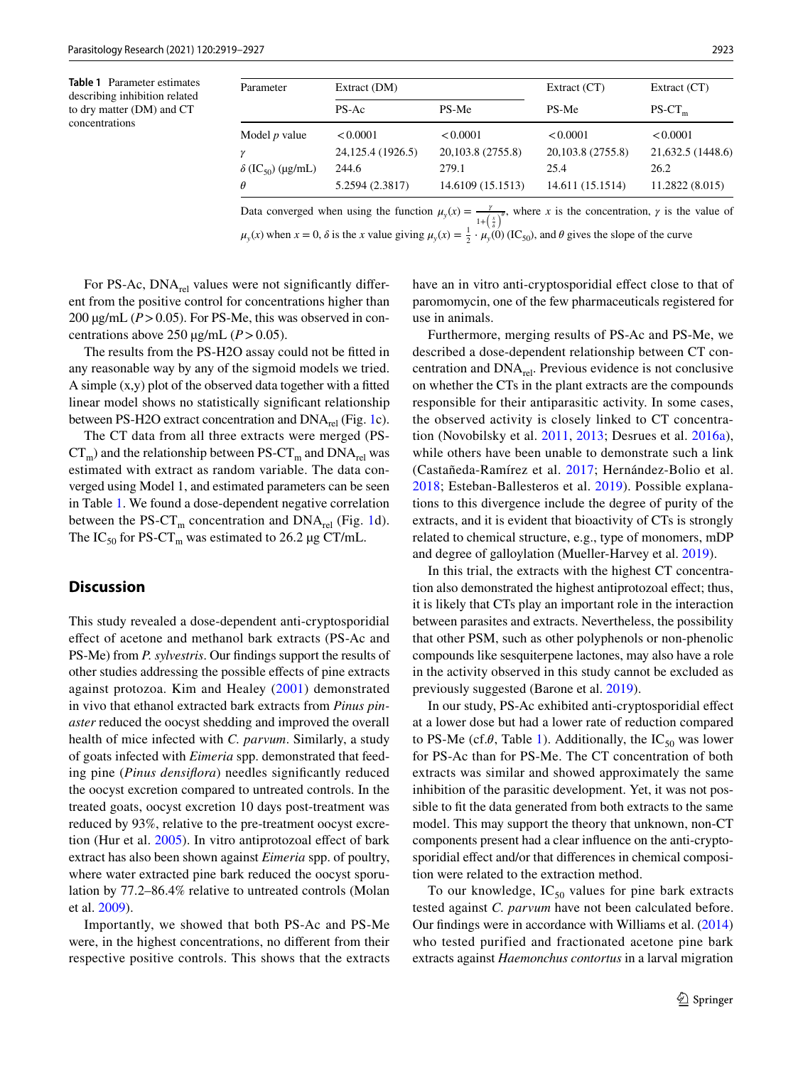<span id="page-4-0"></span>**Table 1** Parameter estimates describing inhibition related to dry matter (DM) and CT concentrations

| Parameter                            | Extract (DM)       |                   | Extract (CT)      | Extract $(CT)$    |
|--------------------------------------|--------------------|-------------------|-------------------|-------------------|
|                                      | $PS-AC$            | PS-Me             | PS-Me             | $PS-CT_m$         |
| Model $p$ value                      | < 0.0001           | < 0.0001          | < 0.0001          | < 0.0001          |
|                                      | 24, 125.4 (1926.5) | 20,103.8 (2755.8) | 20,103.8 (2755.8) | 21,632.5 (1448.6) |
| $\delta$ (IC <sub>50</sub> ) (µg/mL) | 244.6              | 279.1             | 25.4              | 26.2              |
| $\theta$                             | 5.2594 (2.3817)    | 14.6109 (15.1513) | 14.611 (15.1514)  | 11.2822 (8.015)   |

Data converged when using the function  $\mu_y(x) = \frac{y}{1 + \left(\frac{x}{\sigma}\right)^{\theta}}$ , where *x* is the concentration, *y* is the value of  $\mu_y(x)$  when  $x = 0$ ,  $\delta$  is the *x* value giving  $\mu_y(x) = \frac{1}{2} \cdot \mu_y(0)$  (IC<sub>50</sub>), and  $\theta$  gives the slope of the curve

For PS-Ac,  $DNA_{rel}$  values were not significantly different from the positive control for concentrations higher than 200  $\mu$ g/mL ( $P > 0.05$ ). For PS-Me, this was observed in concentrations above 250  $\mu$ g/mL (*P* > 0.05).

The results from the PS-H2O assay could not be ftted in any reasonable way by any of the sigmoid models we tried. A simple  $(x, y)$  plot of the observed data together with a fitted linear model shows no statistically signifcant relationship between PS-H2O extract concentration and  $DNA_{rel}$  (Fig. [1c](#page-5-0)).

The CT data from all three extracts were merged (PS- $CT_m$ ) and the relationship between PS- $CT_m$  and DNA<sub>rel</sub> was estimated with extract as random variable. The data converged using Model 1, and estimated parameters can be seen in Table [1](#page-4-0). We found a dose-dependent negative correlation between the PS-CT<sub>m</sub> concentration and DNA<sub>rel</sub> (Fig. [1](#page-5-0)d). The  $IC_{50}$  for PS-CT<sub>m</sub> was estimated to 26.2 µg CT/mL.

# **Discussion**

This study revealed a dose-dependent anti-cryptosporidial efect of acetone and methanol bark extracts (PS-Ac and PS-Me) from *P. sylvestris*. Our fndings support the results of other studies addressing the possible efects of pine extracts against protozoa. Kim and Healey ([2001\)](#page-8-14) demonstrated in vivo that ethanol extracted bark extracts from *Pinus pinaster* reduced the oocyst shedding and improved the overall health of mice infected with *C. parvum*. Similarly, a study of goats infected with *Eimeria* spp. demonstrated that feeding pine (*Pinus densifora*) needles signifcantly reduced the oocyst excretion compared to untreated controls. In the treated goats, oocyst excretion 10 days post-treatment was reduced by 93%, relative to the pre-treatment oocyst excretion (Hur et al. [2005](#page-7-18)). In vitro antiprotozoal efect of bark extract has also been shown against *Eimeria* spp. of poultry, where water extracted pine bark reduced the oocyst sporulation by 77.2–86.4% relative to untreated controls (Molan et al. [2009](#page-8-20)).

Importantly, we showed that both PS-Ac and PS-Me were, in the highest concentrations, no diferent from their respective positive controls. This shows that the extracts

have an in vitro anti-cryptosporidial effect close to that of paromomycin, one of the few pharmaceuticals registered for use in animals.

Furthermore, merging results of PS-Ac and PS-Me, we described a dose-dependent relationship between CT concentration and  $DNA_{rel}$ . Previous evidence is not conclusive on whether the CTs in the plant extracts are the compounds responsible for their antiparasitic activity. In some cases, the observed activity is closely linked to CT concentration (Novobilsky et al. [2011](#page-8-21), [2013](#page-8-22); Desrues et al. [2016a](#page-7-19)), while others have been unable to demonstrate such a link (Castañeda-Ramírez et al. [2017;](#page-7-20) Hernández-Bolio et al. [2018;](#page-7-21) Esteban-Ballesteros et al. [2019](#page-7-22)). Possible explanations to this divergence include the degree of purity of the extracts, and it is evident that bioactivity of CTs is strongly related to chemical structure, e.g., type of monomers, mDP and degree of galloylation (Mueller-Harvey et al. [2019](#page-8-23)).

In this trial, the extracts with the highest CT concentration also demonstrated the highest antiprotozoal efect; thus, it is likely that CTs play an important role in the interaction between parasites and extracts. Nevertheless, the possibility that other PSM, such as other polyphenols or non-phenolic compounds like sesquiterpene lactones, may also have a role in the activity observed in this study cannot be excluded as previously suggested (Barone et al. [2019](#page-7-23)).

In our study, PS-Ac exhibited anti-cryptosporidial efect at a lower dose but had a lower rate of reduction compared to PS-Me (cf. $\theta$ , Table [1\)](#page-4-0). Additionally, the IC<sub>50</sub> was lower for PS-Ac than for PS-Me. The CT concentration of both extracts was similar and showed approximately the same inhibition of the parasitic development. Yet, it was not possible to fit the data generated from both extracts to the same model. This may support the theory that unknown, non-CT components present had a clear infuence on the anti-cryptosporidial effect and/or that differences in chemical composition were related to the extraction method.

To our knowledge,  $IC_{50}$  values for pine bark extracts tested against *C. parvum* have not been calculated before. Our fndings were in accordance with Williams et al. ([2014\)](#page-8-24) who tested purified and fractionated acetone pine bark extracts against *Haemonchus contortus* in a larval migration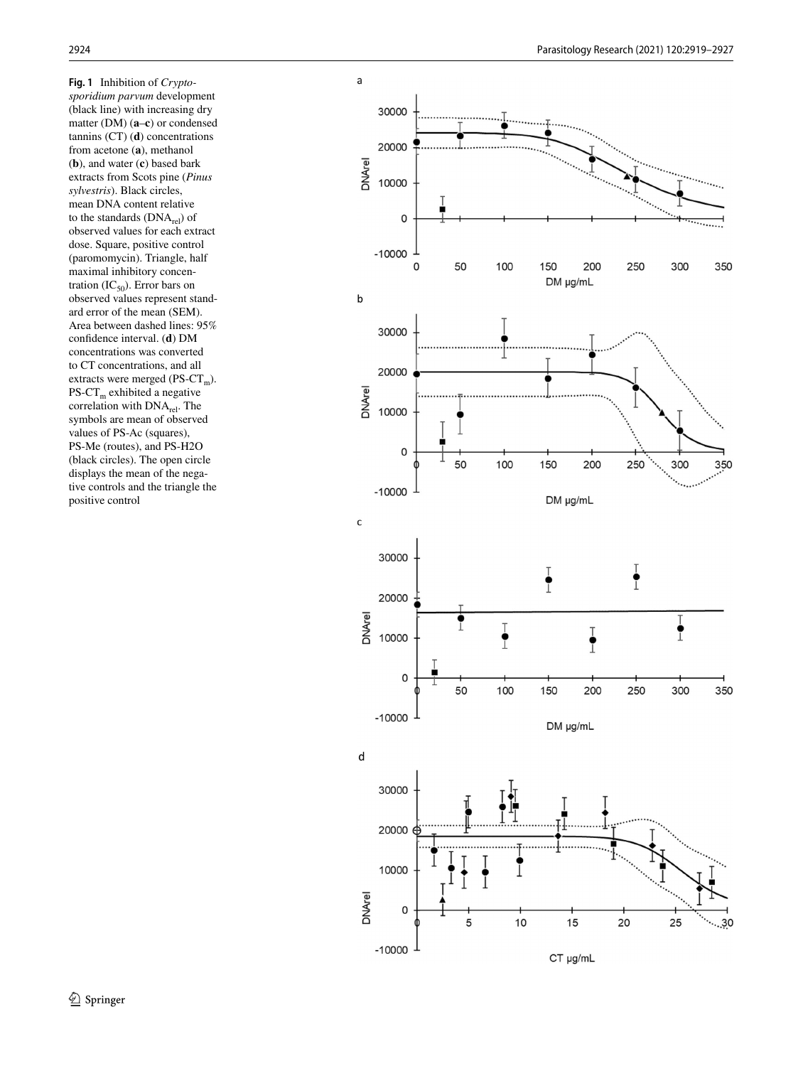<span id="page-5-0"></span>**Fig. 1** Inhibition of *Cryptosporidium parvum* development (black line) with increasing dry matter (DM) ( **a** – **c**) or condensed tannins (CT) ( **d**) concentrations from acetone ( **a**), methanol ( **b**), and water ( **c**) based bark extracts from Scots pine (*Pinus sylvestris*). Black circles, mean DNA content relative to the standards  $(DNA_{rel})$  of observed values for each extract dose. Square, positive control (paromomycin). Triangle, half maximal inhibitory concentration  $(IC_{50})$ . Error bars on observed values represent standard error of the mean (SEM). Area between dashed lines: 95% confdence interval. ( **d**) DM concentrations was converted to CT concentrations, and all extracts were merged ( $PS-CT_m$ ).  $PS-CT_m$  exhibited a negative correlation with DNA<sub>rel</sub>. The symbols are mean of observed values of PS-Ac (squares), PS-Me (routes), and PS-H2O (black circles). The open circle displays the mean of the negative controls and the triangle the positive control

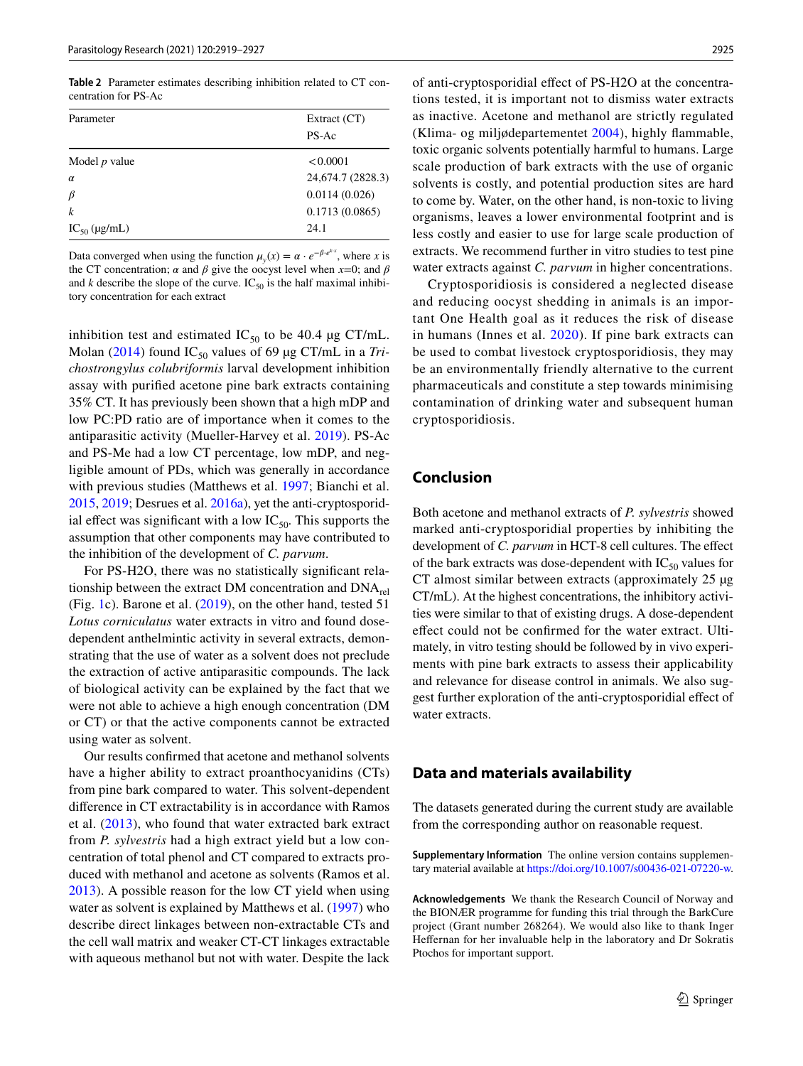<span id="page-6-0"></span>**Table 2** Parameter estimates describing inhibition related to CT concentration for PS-Ac

| Parameter         | Extract $(CT)$    |  |
|-------------------|-------------------|--|
|                   | PS-Ac             |  |
| Model $p$ value   | < 0.0001          |  |
| $\alpha$          | 24,674.7 (2828.3) |  |
| $\beta$           | 0.0114(0.026)     |  |
| $\boldsymbol{k}$  | 0.1713(0.0865)    |  |
| $IC_{50}$ (µg/mL) | 24.1              |  |

Data converged when using the function  $\mu_y(x) = \alpha \cdot e^{-\beta \cdot e^{kx}}$ , where *x* is the CT concentration;  $\alpha$  and  $\beta$  give the oocyst level when  $x=0$ ; and  $\beta$ and  $k$  describe the slope of the curve. IC<sub>50</sub> is the half maximal inhibitory concentration for each extract

inhibition test and estimated  $IC_{50}$  to be 40.4 µg CT/mL. Molan ([2014](#page-8-25)) found  $IC_{50}$  values of 69 µg CT/mL in a *Trichostrongylus colubriformis* larval development inhibition assay with purifed acetone pine bark extracts containing 35% CT. It has previously been shown that a high mDP and low PC:PD ratio are of importance when it comes to the antiparasitic activity (Mueller-Harvey et al. [2019\)](#page-8-23). PS-Ac and PS-Me had a low CT percentage, low mDP, and negligible amount of PDs, which was generally in accordance with previous studies (Matthews et al. [1997](#page-8-26); Bianchi et al. [2015,](#page-7-14) [2019;](#page-7-24) Desrues et al. [2016a](#page-7-19)), yet the anti-cryptosporidial effect was significant with a low  $IC_{50}$ . This supports the assumption that other components may have contributed to the inhibition of the development of *C. parvum*.

For PS-H2O, there was no statistically signifcant relationship between the extract DM concentration and  $DNA_{rel}$ (Fig. [1](#page-5-0)c). Barone et al. [\(2019\)](#page-7-23), on the other hand, tested 51 *Lotus corniculatus* water extracts in vitro and found dosedependent anthelmintic activity in several extracts, demonstrating that the use of water as a solvent does not preclude the extraction of active antiparasitic compounds. The lack of biological activity can be explained by the fact that we were not able to achieve a high enough concentration (DM or CT) or that the active components cannot be extracted using water as solvent.

Our results confrmed that acetone and methanol solvents have a higher ability to extract proanthocyanidins (CTs) from pine bark compared to water. This solvent-dependent diference in CT extractability is in accordance with Ramos et al. ([2013\)](#page-8-27), who found that water extracted bark extract from *P. sylvestris* had a high extract yield but a low concentration of total phenol and CT compared to extracts produced with methanol and acetone as solvents (Ramos et al. [2013](#page-8-27)). A possible reason for the low CT yield when using water as solvent is explained by Matthews et al. ([1997](#page-8-26)) who describe direct linkages between non-extractable CTs and the cell wall matrix and weaker CT-CT linkages extractable with aqueous methanol but not with water. Despite the lack of anti-cryptosporidial efect of PS-H2O at the concentrations tested, it is important not to dismiss water extracts as inactive. Acetone and methanol are strictly regulated (Klima- og miljødepartementet [2004\)](#page-8-28), highly fammable, toxic organic solvents potentially harmful to humans. Large scale production of bark extracts with the use of organic solvents is costly, and potential production sites are hard to come by. Water, on the other hand, is non-toxic to living organisms, leaves a lower environmental footprint and is less costly and easier to use for large scale production of extracts. We recommend further in vitro studies to test pine water extracts against *C. parvum* in higher concentrations.

Cryptosporidiosis is considered a neglected disease and reducing oocyst shedding in animals is an important One Health goal as it reduces the risk of disease in humans (Innes et al. [2020\)](#page-7-1). If pine bark extracts can be used to combat livestock cryptosporidiosis, they may be an environmentally friendly alternative to the current pharmaceuticals and constitute a step towards minimising contamination of drinking water and subsequent human cryptosporidiosis.

## **Conclusion**

Both acetone and methanol extracts of *P. sylvestris* showed marked anti-cryptosporidial properties by inhibiting the development of *C. parvum* in HCT-8 cell cultures. The effect of the bark extracts was dose-dependent with  $IC_{50}$  values for CT almost similar between extracts (approximately 25 µg CT/mL). At the highest concentrations, the inhibitory activities were similar to that of existing drugs. A dose-dependent efect could not be confrmed for the water extract. Ultimately, in vitro testing should be followed by in vivo experiments with pine bark extracts to assess their applicability and relevance for disease control in animals. We also suggest further exploration of the anti-cryptosporidial efect of water extracts.

## **Data and materials availability**

The datasets generated during the current study are available from the corresponding author on reasonable request.

**Supplementary Information** The online version contains supplementary material available at<https://doi.org/10.1007/s00436-021-07220-w>.

**Acknowledgements** We thank the Research Council of Norway and the BIONÆR programme for funding this trial through the BarkCure project (Grant number 268264). We would also like to thank Inger Hefernan for her invaluable help in the laboratory and Dr Sokratis Ptochos for important support.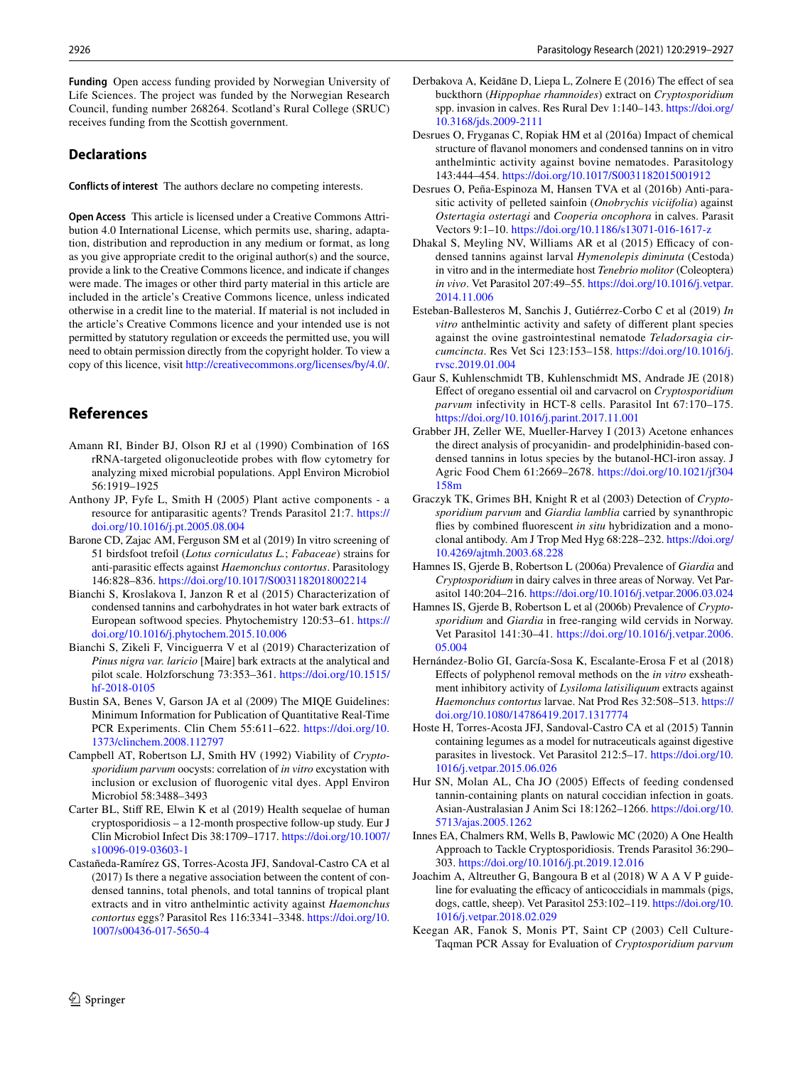**Funding** Open access funding provided by Norwegian University of Life Sciences. The project was funded by the Norwegian Research Council, funding number 268264. Scotland's Rural College (SRUC) receives funding from the Scottish government.

#### **Declarations**

**Conflicts of interest** The authors declare no competing interests.

**Open Access** This article is licensed under a Creative Commons Attribution 4.0 International License, which permits use, sharing, adaptation, distribution and reproduction in any medium or format, as long as you give appropriate credit to the original author(s) and the source, provide a link to the Creative Commons licence, and indicate if changes were made. The images or other third party material in this article are included in the article's Creative Commons licence, unless indicated otherwise in a credit line to the material. If material is not included in the article's Creative Commons licence and your intended use is not permitted by statutory regulation or exceeds the permitted use, you will need to obtain permission directly from the copyright holder. To view a copy of this licence, visit <http://creativecommons.org/licenses/by/4.0/>.

## **References**

- <span id="page-7-15"></span>Amann RI, Binder BJ, Olson RJ et al (1990) Combination of 16S rRNA-targeted oligonucleotide probes with fow cytometry for analyzing mixed microbial populations. Appl Environ Microbiol 56:1919–1925
- <span id="page-7-5"></span>Anthony JP, Fyfe L, Smith H (2005) Plant active components - a resource for antiparasitic agents? Trends Parasitol 21:7. [https://](https://doi.org/10.1016/j.pt.2005.08.004) [doi.org/10.1016/j.pt.2005.08.004](https://doi.org/10.1016/j.pt.2005.08.004)
- <span id="page-7-23"></span>Barone CD, Zajac AM, Ferguson SM et al (2019) In vitro screening of 51 birdsfoot trefoil (*Lotus corniculatus L.*; *Fabaceae*) strains for anti-parasitic efects against *Haemonchus contortus*. Parasitology 146:828–836. <https://doi.org/10.1017/S0031182018002214>
- <span id="page-7-14"></span>Bianchi S, Kroslakova I, Janzon R et al (2015) Characterization of condensed tannins and carbohydrates in hot water bark extracts of European softwood species. Phytochemistry 120:53–61. [https://](https://doi.org/10.1016/j.phytochem.2015.10.006) [doi.org/10.1016/j.phytochem.2015.10.006](https://doi.org/10.1016/j.phytochem.2015.10.006)
- <span id="page-7-24"></span>Bianchi S, Zikeli F, Vinciguerra V et al (2019) Characterization of *Pinus nigra var. laricio* [Maire] bark extracts at the analytical and pilot scale. Holzforschung 73:353–361. [https://doi.org/10.1515/](https://doi.org/10.1515/hf-2018-0105) [hf-2018-0105](https://doi.org/10.1515/hf-2018-0105)
- <span id="page-7-17"></span>Bustin SA, Benes V, Garson JA et al (2009) The MIQE Guidelines: Minimum Information for Publication of Quantitative Real-Time PCR Experiments. Clin Chem 55:611–622. [https://doi.org/10.](https://doi.org/10.1373/clinchem.2008.112797) [1373/clinchem.2008.112797](https://doi.org/10.1373/clinchem.2008.112797)
- <span id="page-7-11"></span>Campbell AT, Robertson LJ, Smith HV (1992) Viability of *Cryptosporidium parvum* oocysts: correlation of *in vitro* excystation with inclusion or exclusion of fuorogenic vital dyes. Appl Environ Microbiol 58:3488–3493
- <span id="page-7-2"></span>Carter BL, Stif RE, Elwin K et al (2019) Health sequelae of human cryptosporidiosis – a 12-month prospective follow-up study. Eur J Clin Microbiol Infect Dis 38:1709–1717. [https://doi.org/10.1007/](https://doi.org/10.1007/s10096-019-03603-1) [s10096-019-03603-1](https://doi.org/10.1007/s10096-019-03603-1)
- <span id="page-7-20"></span>Castañeda-Ramírez GS, Torres-Acosta JFJ, Sandoval-Castro CA et al (2017) Is there a negative association between the content of condensed tannins, total phenols, and total tannins of tropical plant extracts and in vitro anthelmintic activity against *Haemonchus contortus* eggs? Parasitol Res 116:3341–3348. [https://doi.org/10.](https://doi.org/10.1007/s00436-017-5650-4) [1007/s00436-017-5650-4](https://doi.org/10.1007/s00436-017-5650-4)
- <span id="page-7-10"></span>Derbakova A, Keidāne D, Liepa L, Zolnere E (2016) The effect of sea buckthorn (*Hippophae rhamnoides*) extract on *Cryptosporidium* spp. invasion in calves. Res Rural Dev 1:140–143. [https://doi.org/](https://doi.org/10.3168/jds.2009-2111) [10.3168/jds.2009-2111](https://doi.org/10.3168/jds.2009-2111)
- <span id="page-7-19"></span>Desrues O, Fryganas C, Ropiak HM et al (2016a) Impact of chemical structure of favanol monomers and condensed tannins on in vitro anthelmintic activity against bovine nematodes. Parasitology 143:444–454. <https://doi.org/10.1017/S0031182015001912>
- <span id="page-7-8"></span>Desrues O, Peña-Espinoza M, Hansen TVA et al (2016b) Anti-parasitic activity of pelleted sainfoin (*Onobrychis viciifolia*) against *Ostertagia ostertagi* and *Cooperia oncophora* in calves. Parasit Vectors 9:1–10.<https://doi.org/10.1186/s13071-016-1617-z>
- <span id="page-7-7"></span>Dhakal S, Meyling NV, Williams AR et al (2015) Efficacy of condensed tannins against larval *Hymenolepis diminuta* (Cestoda) in vitro and in the intermediate host *Tenebrio molitor* (Coleoptera) *in vivo*. Vet Parasitol 207:49–55. [https://doi.org/10.1016/j.vetpar.](https://doi.org/10.1016/j.vetpar.2014.11.006) [2014.11.006](https://doi.org/10.1016/j.vetpar.2014.11.006)
- <span id="page-7-22"></span>Esteban-Ballesteros M, Sanchis J, Gutiérrez-Corbo C et al (2019) *In vitro* anthelmintic activity and safety of diferent plant species against the ovine gastrointestinal nematode *Teladorsagia circumcincta*. Res Vet Sci 123:153–158. [https://doi.org/10.1016/j.](https://doi.org/10.1016/j.rvsc.2019.01.004) [rvsc.2019.01.004](https://doi.org/10.1016/j.rvsc.2019.01.004)
- <span id="page-7-9"></span>Gaur S, Kuhlenschmidt TB, Kuhlenschmidt MS, Andrade JE (2018) Efect of oregano essential oil and carvacrol on *Cryptosporidium parvum* infectivity in HCT-8 cells. Parasitol Int 67:170–175. <https://doi.org/10.1016/j.parint.2017.11.001>
- <span id="page-7-13"></span>Grabber JH, Zeller WE, Mueller-Harvey I (2013) Acetone enhances the direct analysis of procyanidin- and prodelphinidin-based condensed tannins in lotus species by the butanol-HCl-iron assay. J Agric Food Chem 61:2669–2678. [https://doi.org/10.1021/jf304](https://doi.org/10.1021/jf304158m) [158m](https://doi.org/10.1021/jf304158m)
- <span id="page-7-0"></span>Graczyk TK, Grimes BH, Knight R et al (2003) Detection of *Cryptosporidium parvum* and *Giardia lamblia* carried by synanthropic fies by combined fuorescent *in situ* hybridization and a monoclonal antibody. Am J Trop Med Hyg 68:228–232. [https://doi.org/](https://doi.org/10.4269/ajtmh.2003.68.228) [10.4269/ajtmh.2003.68.228](https://doi.org/10.4269/ajtmh.2003.68.228)
- <span id="page-7-3"></span>Hamnes IS, Gjerde B, Robertson L (2006a) Prevalence of *Giardia* and *Cryptosporidium* in dairy calves in three areas of Norway. Vet Parasitol 140:204–216.<https://doi.org/10.1016/j.vetpar.2006.03.024>
- <span id="page-7-4"></span>Hamnes IS, Gjerde B, Robertson L et al (2006b) Prevalence of *Cryptosporidium* and *Giardia* in free-ranging wild cervids in Norway. Vet Parasitol 141:30–41. [https://doi.org/10.1016/j.vetpar.2006.](https://doi.org/10.1016/j.vetpar.2006.05.004) [05.004](https://doi.org/10.1016/j.vetpar.2006.05.004)
- <span id="page-7-21"></span>Hernández-Bolio GI, García-Sosa K, Escalante-Erosa F et al (2018) Efects of polyphenol removal methods on the *in vitro* exsheathment inhibitory activity of *Lysiloma latisiliquum* extracts against *Haemonchus contortus* larvae. Nat Prod Res 32:508–513. [https://](https://doi.org/10.1080/14786419.2017.1317774) [doi.org/10.1080/14786419.2017.1317774](https://doi.org/10.1080/14786419.2017.1317774)
- <span id="page-7-6"></span>Hoste H, Torres-Acosta JFJ, Sandoval-Castro CA et al (2015) Tannin containing legumes as a model for nutraceuticals against digestive parasites in livestock. Vet Parasitol 212:5–17. [https://doi.org/10.](https://doi.org/10.1016/j.vetpar.2015.06.026) [1016/j.vetpar.2015.06.026](https://doi.org/10.1016/j.vetpar.2015.06.026)
- <span id="page-7-18"></span>Hur SN, Molan AL, Cha JO (2005) Efects of feeding condensed tannin-containing plants on natural coccidian infection in goats. Asian-Australasian J Anim Sci 18:1262–1266. [https://doi.org/10.](https://doi.org/10.5713/ajas.2005.1262) [5713/ajas.2005.1262](https://doi.org/10.5713/ajas.2005.1262)
- <span id="page-7-1"></span>Innes EA, Chalmers RM, Wells B, Pawlowic MC (2020) A One Health Approach to Tackle Cryptosporidiosis. Trends Parasitol 36:290– 303.<https://doi.org/10.1016/j.pt.2019.12.016>
- <span id="page-7-12"></span>Joachim A, Altreuther G, Bangoura B et al (2018) W A A V P guideline for evaluating the efficacy of anticoccidials in mammals (pigs, dogs, cattle, sheep). Vet Parasitol 253:102–119. [https://doi.org/10.](https://doi.org/10.1016/j.vetpar.2018.02.029) [1016/j.vetpar.2018.02.029](https://doi.org/10.1016/j.vetpar.2018.02.029)
- <span id="page-7-16"></span>Keegan AR, Fanok S, Monis PT, Saint CP (2003) Cell Culture-Taqman PCR Assay for Evaluation of *Cryptosporidium parvum*